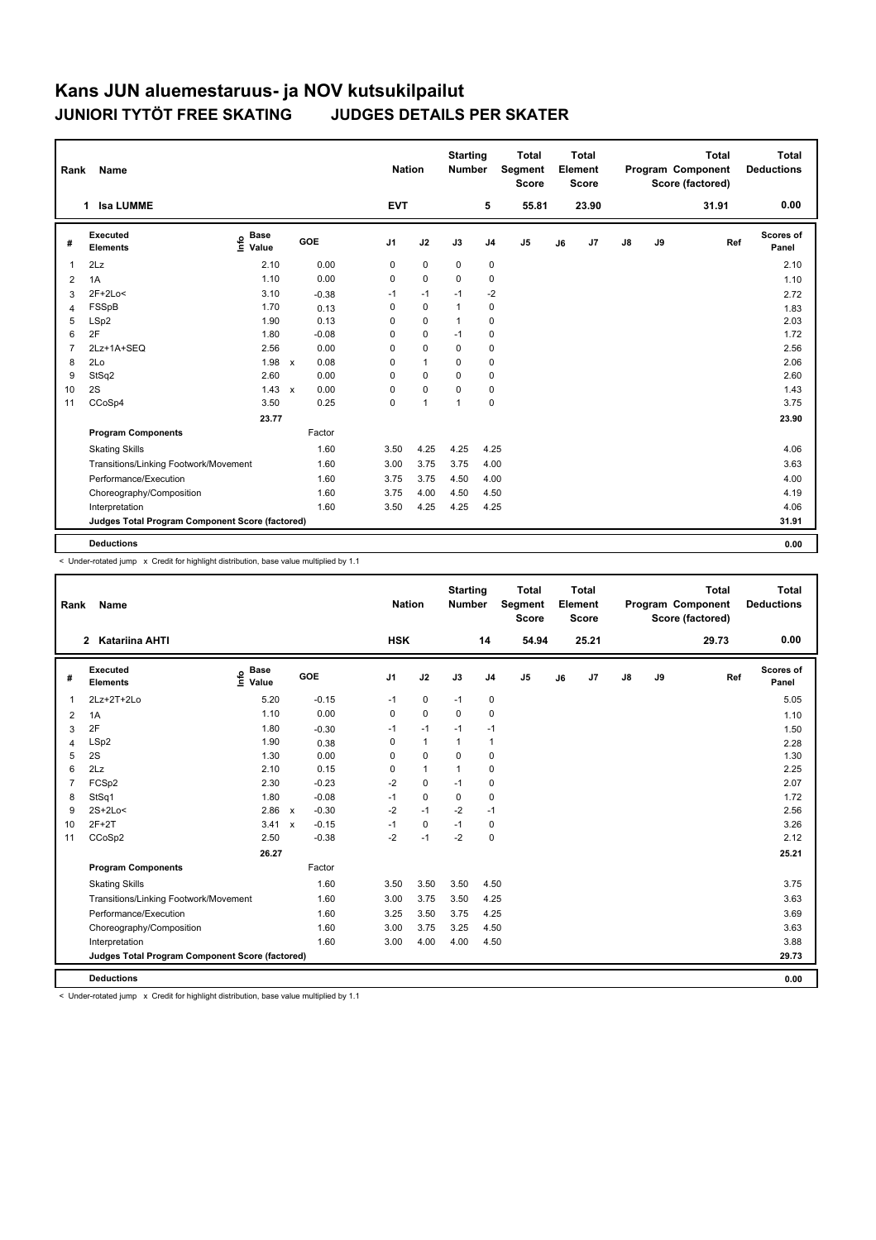| Rank | Name                                            |                              |              |            |            | <b>Nation</b> | <b>Starting</b><br><b>Number</b> |                | <b>Total</b><br>Segment<br><b>Score</b> |    | Total<br>Element<br><b>Score</b> |    |    | <b>Total</b><br>Program Component<br>Score (factored) | Total<br><b>Deductions</b> |
|------|-------------------------------------------------|------------------------------|--------------|------------|------------|---------------|----------------------------------|----------------|-----------------------------------------|----|----------------------------------|----|----|-------------------------------------------------------|----------------------------|
|      | <b>Isa LUMME</b><br>1                           |                              |              |            | <b>EVT</b> |               |                                  | 5              | 55.81                                   |    | 23.90                            |    |    | 31.91                                                 | 0.00                       |
| #    | <b>Executed</b><br><b>Elements</b>              | <b>Base</b><br>١nfo<br>Value |              | <b>GOE</b> | J1         | J2            | J3                               | J <sub>4</sub> | J5                                      | J6 | J7                               | J8 | J9 | Ref                                                   | Scores of<br>Panel         |
| 1    | 2Lz                                             | 2.10                         |              | 0.00       | 0          | 0             | 0                                | 0              |                                         |    |                                  |    |    |                                                       | 2.10                       |
| 2    | 1A                                              | 1.10                         |              | 0.00       | $\Omega$   | $\mathbf 0$   | $\Omega$                         | $\mathbf 0$    |                                         |    |                                  |    |    |                                                       | 1.10                       |
| 3    | $2F+2Lo<$                                       | 3.10                         |              | $-0.38$    | $-1$       | $-1$          | $-1$                             | $-2$           |                                         |    |                                  |    |    |                                                       | 2.72                       |
| Δ    | FSSpB                                           | 1.70                         |              | 0.13       | 0          | $\mathbf 0$   | $\overline{1}$                   | $\mathbf 0$    |                                         |    |                                  |    |    |                                                       | 1.83                       |
| 5    | LSp2                                            | 1.90                         |              | 0.13       | $\Omega$   | $\mathbf 0$   | $\mathbf{1}$                     | $\mathbf 0$    |                                         |    |                                  |    |    |                                                       | 2.03                       |
| 6    | 2F                                              | 1.80                         |              | $-0.08$    | $\Omega$   | 0             | $-1$                             | $\mathbf 0$    |                                         |    |                                  |    |    |                                                       | 1.72                       |
|      | 2Lz+1A+SEQ                                      | 2.56                         |              | 0.00       | $\Omega$   | 0             | $\Omega$                         | 0              |                                         |    |                                  |    |    |                                                       | 2.56                       |
| 8    | 2Lo                                             | 1.98                         | $\mathsf{x}$ | 0.08       | $\Omega$   | $\mathbf{1}$  | $\Omega$                         | $\mathbf 0$    |                                         |    |                                  |    |    |                                                       | 2.06                       |
| 9    | StSq2                                           | 2.60                         |              | 0.00       | $\Omega$   | 0             | $\Omega$                         | $\mathbf 0$    |                                         |    |                                  |    |    |                                                       | 2.60                       |
| 10   | 2S                                              | $1.43 \times$                |              | 0.00       | $\Omega$   | 0             | $\Omega$                         | $\mathbf 0$    |                                         |    |                                  |    |    |                                                       | 1.43                       |
| 11   | CCoSp4                                          | 3.50                         |              | 0.25       | 0          | $\mathbf{1}$  | $\mathbf{1}$                     | $\mathbf 0$    |                                         |    |                                  |    |    |                                                       | 3.75                       |
|      |                                                 | 23.77                        |              |            |            |               |                                  |                |                                         |    |                                  |    |    |                                                       | 23.90                      |
|      | <b>Program Components</b>                       |                              |              | Factor     |            |               |                                  |                |                                         |    |                                  |    |    |                                                       |                            |
|      | <b>Skating Skills</b>                           |                              |              | 1.60       | 3.50       | 4.25          | 4.25                             | 4.25           |                                         |    |                                  |    |    |                                                       | 4.06                       |
|      | Transitions/Linking Footwork/Movement           |                              |              | 1.60       | 3.00       | 3.75          | 3.75                             | 4.00           |                                         |    |                                  |    |    |                                                       | 3.63                       |
|      | Performance/Execution                           |                              |              | 1.60       | 3.75       | 3.75          | 4.50                             | 4.00           |                                         |    |                                  |    |    |                                                       | 4.00                       |
|      | Choreography/Composition                        |                              |              | 1.60       | 3.75       | 4.00          | 4.50                             | 4.50           |                                         |    |                                  |    |    |                                                       | 4.19                       |
|      | Interpretation                                  |                              |              | 1.60       | 3.50       | 4.25          | 4.25                             | 4.25           |                                         |    |                                  |    |    |                                                       | 4.06                       |
|      | Judges Total Program Component Score (factored) |                              |              |            |            |               |                                  |                |                                         |    |                                  |    |    |                                                       | 31.91                      |
|      | <b>Deductions</b>                               |                              |              |            |            |               |                                  |                |                                         |    |                                  |    |    |                                                       | 0.00                       |

< Under-rotated jump x Credit for highlight distribution, base value multiplied by 1.1

| Rank           | Name                                            |                              |                         | <b>Nation</b>  |              | <b>Starting</b><br><b>Number</b> |                | <b>Total</b><br>Segment<br><b>Score</b> |    | <b>Total</b><br>Element<br><b>Score</b> |               |    | <b>Total</b><br>Program Component<br>Score (factored) | <b>Total</b><br><b>Deductions</b> |
|----------------|-------------------------------------------------|------------------------------|-------------------------|----------------|--------------|----------------------------------|----------------|-----------------------------------------|----|-----------------------------------------|---------------|----|-------------------------------------------------------|-----------------------------------|
|                | Katariina AHTI<br>$\mathbf{2}$                  |                              |                         | <b>HSK</b>     |              |                                  | 14             | 54.94                                   |    | 25.21                                   |               |    | 29.73                                                 | 0.00                              |
| #              | Executed<br><b>Elements</b>                     | <b>Base</b><br>lnfo<br>Value | <b>GOE</b>              | J <sub>1</sub> | J2           | J3                               | J <sub>4</sub> | J <sub>5</sub>                          | J6 | J7                                      | $\mathsf{J}8$ | J9 | Ref                                                   | Scores of<br>Panel                |
| $\mathbf{1}$   | $2Lz+2T+2Lo$                                    | 5.20                         | $-0.15$                 | $-1$           | $\mathbf 0$  | $-1$                             | $\pmb{0}$      |                                         |    |                                         |               |    |                                                       | 5.05                              |
| $\overline{2}$ | 1A                                              | 1.10                         | 0.00                    | 0              | $\mathbf 0$  | 0                                | 0              |                                         |    |                                         |               |    |                                                       | 1.10                              |
| 3              | 2F                                              | 1.80                         | $-0.30$                 | $-1$           | $-1$         | $-1$                             | $-1$           |                                         |    |                                         |               |    |                                                       | 1.50                              |
| $\overline{4}$ | LSp2                                            | 1.90                         | 0.38                    | 0              | $\mathbf{1}$ | $\mathbf{1}$                     | 1              |                                         |    |                                         |               |    |                                                       | 2.28                              |
| 5              | 2S                                              | 1.30                         | 0.00                    | $\Omega$       | $\mathbf 0$  | $\Omega$                         | $\pmb{0}$      |                                         |    |                                         |               |    |                                                       | 1.30                              |
| 6              | 2Lz                                             | 2.10                         | 0.15                    | $\Omega$       | $\mathbf{1}$ | 1                                | $\mathbf 0$    |                                         |    |                                         |               |    |                                                       | 2.25                              |
| 7              | FCSp2                                           | 2.30                         | $-0.23$                 | $-2$           | $\mathbf 0$  | $-1$                             | 0              |                                         |    |                                         |               |    |                                                       | 2.07                              |
| 8              | StSq1                                           | 1.80                         | $-0.08$                 | $-1$           | 0            | 0                                | 0              |                                         |    |                                         |               |    |                                                       | 1.72                              |
| 9              | 2S+2Lo<                                         | 2.86                         | $-0.30$<br>$\mathsf{x}$ | $-2$           | $-1$         | $-2$                             | $-1$           |                                         |    |                                         |               |    |                                                       | 2.56                              |
| 10             | $2F+2T$                                         | 3.41                         | $-0.15$<br>$\mathsf{x}$ | $-1$           | $\mathbf 0$  | $-1$                             | 0              |                                         |    |                                         |               |    |                                                       | 3.26                              |
| 11             | CCoSp2                                          | 2.50                         | $-0.38$                 | $-2$           | $-1$         | $-2$                             | 0              |                                         |    |                                         |               |    |                                                       | 2.12                              |
|                |                                                 | 26.27                        |                         |                |              |                                  |                |                                         |    |                                         |               |    |                                                       | 25.21                             |
|                | <b>Program Components</b>                       |                              | Factor                  |                |              |                                  |                |                                         |    |                                         |               |    |                                                       |                                   |
|                | <b>Skating Skills</b>                           |                              | 1.60                    | 3.50           | 3.50         | 3.50                             | 4.50           |                                         |    |                                         |               |    |                                                       | 3.75                              |
|                | Transitions/Linking Footwork/Movement           |                              | 1.60                    | 3.00           | 3.75         | 3.50                             | 4.25           |                                         |    |                                         |               |    |                                                       | 3.63                              |
|                | Performance/Execution                           |                              | 1.60                    | 3.25           | 3.50         | 3.75                             | 4.25           |                                         |    |                                         |               |    |                                                       | 3.69                              |
|                | Choreography/Composition                        |                              | 1.60                    | 3.00           | 3.75         | 3.25                             | 4.50           |                                         |    |                                         |               |    |                                                       | 3.63                              |
|                | Interpretation                                  |                              | 1.60                    | 3.00           | 4.00         | 4.00                             | 4.50           |                                         |    |                                         |               |    |                                                       | 3.88                              |
|                | Judges Total Program Component Score (factored) |                              |                         |                |              |                                  |                |                                         |    |                                         |               |    |                                                       | 29.73                             |
|                | <b>Deductions</b>                               |                              |                         |                |              |                                  |                |                                         |    |                                         |               |    |                                                       | 0.00                              |

< Under-rotated jump x Credit for highlight distribution, base value multiplied by 1.1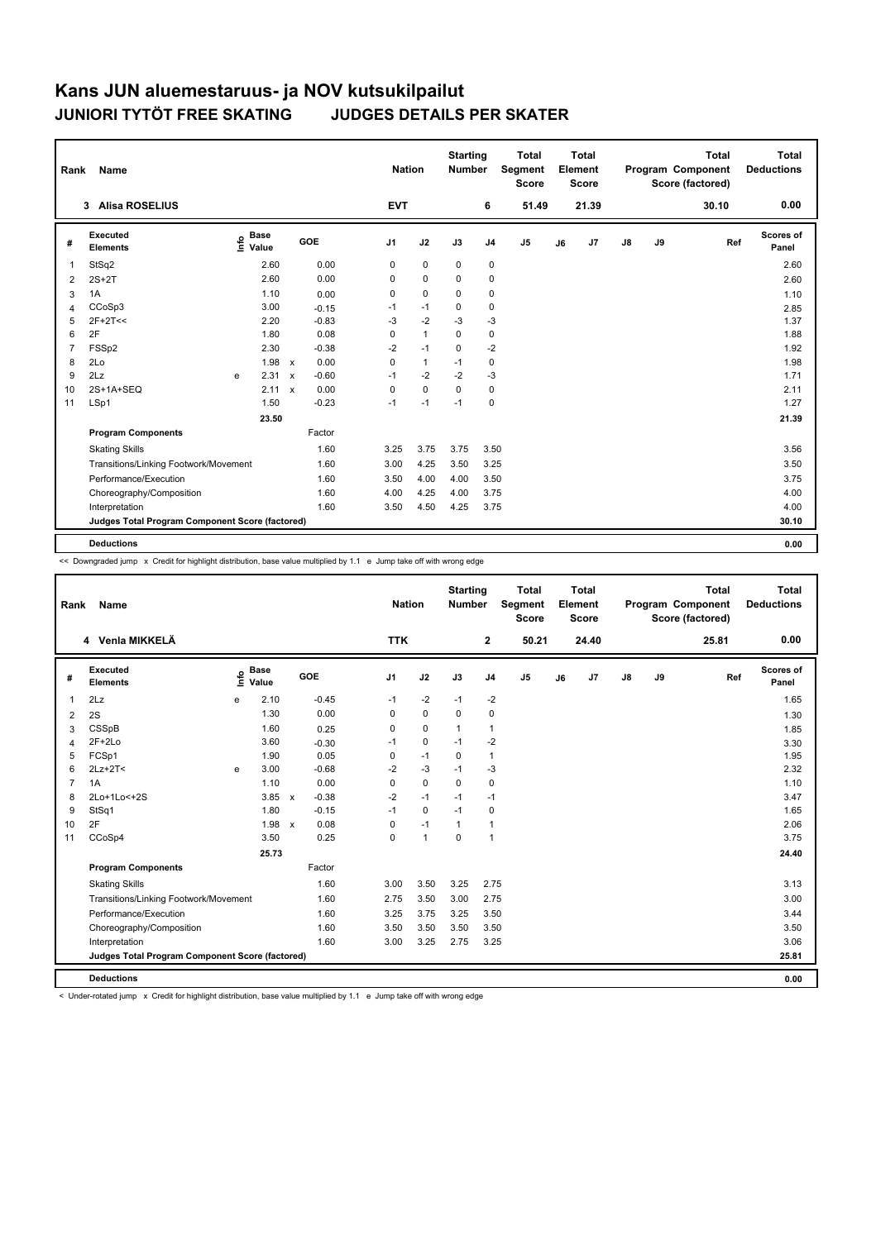| Rank | <b>Name</b>                                     |                            |       |              |         | <b>Nation</b>  |              | <b>Starting</b><br><b>Number</b> |                | <b>Total</b><br>Segment<br><b>Score</b> |    | Total<br>Element<br><b>Score</b> |               |    | <b>Total</b><br>Program Component<br>Score (factored) | <b>Total</b><br><b>Deductions</b> |
|------|-------------------------------------------------|----------------------------|-------|--------------|---------|----------------|--------------|----------------------------------|----------------|-----------------------------------------|----|----------------------------------|---------------|----|-------------------------------------------------------|-----------------------------------|
|      | <b>Alisa ROSELIUS</b><br>3                      |                            |       |              |         | <b>EVT</b>     |              |                                  | 6              | 51.49                                   |    | 21.39                            |               |    | 30.10                                                 | 0.00                              |
| #    | <b>Executed</b><br><b>Elements</b>              | <b>Base</b><br>۴ů<br>Value |       |              | GOE     | J <sub>1</sub> | J2           | J3                               | J <sub>4</sub> | J <sub>5</sub>                          | J6 | J <sub>7</sub>                   | $\mathsf{J}8$ | J9 | Ref                                                   | Scores of<br>Panel                |
| 1    | StSq2                                           |                            | 2.60  |              | 0.00    | 0              | $\mathbf 0$  | 0                                | 0              |                                         |    |                                  |               |    |                                                       | 2.60                              |
| 2    | $2S+2T$                                         |                            | 2.60  |              | 0.00    | 0              | $\mathbf 0$  | $\Omega$                         | 0              |                                         |    |                                  |               |    |                                                       | 2.60                              |
| 3    | 1A                                              |                            | 1.10  |              | 0.00    | 0              | $\mathbf 0$  | $\mathbf 0$                      | 0              |                                         |    |                                  |               |    |                                                       | 1.10                              |
| Δ    | CCoSp3                                          |                            | 3.00  |              | $-0.15$ | $-1$           | $-1$         | 0                                | 0              |                                         |    |                                  |               |    |                                                       | 2.85                              |
| 5    | $2F+2T<<$                                       |                            | 2.20  |              | $-0.83$ | $-3$           | $-2$         | $-3$                             | $-3$           |                                         |    |                                  |               |    |                                                       | 1.37                              |
| 6    | 2F                                              |                            | 1.80  |              | 0.08    | $\mathbf 0$    | $\mathbf{1}$ | $\Omega$                         | 0              |                                         |    |                                  |               |    |                                                       | 1.88                              |
|      | FSSp2                                           |                            | 2.30  |              | $-0.38$ | $-2$           | $-1$         | $\mathbf 0$                      | $-2$           |                                         |    |                                  |               |    |                                                       | 1.92                              |
| 8    | 2Lo                                             |                            | 1.98  | $\mathsf{x}$ | 0.00    | 0              | $\mathbf{1}$ | $-1$                             | 0              |                                         |    |                                  |               |    |                                                       | 1.98                              |
| 9    | 2Lz                                             | e                          | 2.31  | $\mathsf{x}$ | $-0.60$ | $-1$           | $-2$         | $-2$                             | $-3$           |                                         |    |                                  |               |    |                                                       | 1.71                              |
| 10   | 2S+1A+SEQ                                       |                            | 2.11  | $\mathbf{x}$ | 0.00    | $\Omega$       | $\Omega$     | $\Omega$                         | $\Omega$       |                                         |    |                                  |               |    |                                                       | 2.11                              |
| 11   | LSp1                                            |                            | 1.50  |              | $-0.23$ | $-1$           | $-1$         | $-1$                             | 0              |                                         |    |                                  |               |    |                                                       | 1.27                              |
|      |                                                 |                            | 23.50 |              |         |                |              |                                  |                |                                         |    |                                  |               |    |                                                       | 21.39                             |
|      | <b>Program Components</b>                       |                            |       |              | Factor  |                |              |                                  |                |                                         |    |                                  |               |    |                                                       |                                   |
|      | <b>Skating Skills</b>                           |                            |       |              | 1.60    | 3.25           | 3.75         | 3.75                             | 3.50           |                                         |    |                                  |               |    |                                                       | 3.56                              |
|      | Transitions/Linking Footwork/Movement           |                            |       |              | 1.60    | 3.00           | 4.25         | 3.50                             | 3.25           |                                         |    |                                  |               |    |                                                       | 3.50                              |
|      | Performance/Execution                           |                            |       |              | 1.60    | 3.50           | 4.00         | 4.00                             | 3.50           |                                         |    |                                  |               |    |                                                       | 3.75                              |
|      | Choreography/Composition                        |                            |       |              | 1.60    | 4.00           | 4.25         | 4.00                             | 3.75           |                                         |    |                                  |               |    |                                                       | 4.00                              |
|      | Interpretation                                  |                            |       |              | 1.60    | 3.50           | 4.50         | 4.25                             | 3.75           |                                         |    |                                  |               |    |                                                       | 4.00                              |
|      | Judges Total Program Component Score (factored) |                            |       |              |         |                |              |                                  |                |                                         |    |                                  |               |    |                                                       | 30.10                             |
|      | <b>Deductions</b>                               |                            |       |              |         |                |              |                                  |                |                                         |    |                                  |               |    |                                                       | 0.00                              |
|      |                                                 |                            |       |              |         |                |              |                                  |                |                                         |    |                                  |               |    |                                                       |                                   |

<< Downgraded jump x Credit for highlight distribution, base value multiplied by 1.1 e Jump take off with wrong edge

| Rank           | Name                                            |      |                      |                           |         | <b>Nation</b>  |              | <b>Starting</b><br><b>Number</b> |                | <b>Total</b><br>Segment<br><b>Score</b> |    | <b>Total</b><br>Element<br><b>Score</b> |               |    | <b>Total</b><br>Program Component<br>Score (factored) |     | <b>Total</b><br><b>Deductions</b> |
|----------------|-------------------------------------------------|------|----------------------|---------------------------|---------|----------------|--------------|----------------------------------|----------------|-----------------------------------------|----|-----------------------------------------|---------------|----|-------------------------------------------------------|-----|-----------------------------------|
|                | 4 Venla MIKKELÄ                                 |      |                      |                           |         | <b>TTK</b>     |              |                                  | $\mathbf{2}$   | 50.21                                   |    | 24.40                                   |               |    | 25.81                                                 |     | 0.00                              |
| #              | <b>Executed</b><br><b>Elements</b>              | Life | <b>Base</b><br>Value |                           | GOE     | J <sub>1</sub> | J2           | J3                               | J <sub>4</sub> | J <sub>5</sub>                          | J6 | J <sub>7</sub>                          | $\mathsf{J}8$ | J9 |                                                       | Ref | Scores of<br>Panel                |
| 1              | 2Lz                                             | e    | 2.10                 |                           | $-0.45$ | $-1$           | $-2$         | $-1$                             | $-2$           |                                         |    |                                         |               |    |                                                       |     | 1.65                              |
| 2              | 2S                                              |      | 1.30                 |                           | 0.00    | 0              | $\mathbf 0$  | 0                                | $\pmb{0}$      |                                         |    |                                         |               |    |                                                       |     | 1.30                              |
| 3              | CSSpB                                           |      | 1.60                 |                           | 0.25    | 0              | $\mathbf 0$  | $\mathbf{1}$                     | $\mathbf{1}$   |                                         |    |                                         |               |    |                                                       |     | 1.85                              |
| 4              | $2F+2Lo$                                        |      | 3.60                 |                           | $-0.30$ | $-1$           | 0            | $-1$                             | $-2$           |                                         |    |                                         |               |    |                                                       |     | 3.30                              |
| 5              | FCSp1                                           |      | 1.90                 |                           | 0.05    | 0              | $-1$         | $\Omega$                         | $\mathbf{1}$   |                                         |    |                                         |               |    |                                                       |     | 1.95                              |
| 6              | $2Lz+2T<$                                       | e    | 3.00                 |                           | $-0.68$ | $-2$           | $-3$         | $-1$                             | $-3$           |                                         |    |                                         |               |    |                                                       |     | 2.32                              |
| $\overline{7}$ | 1A                                              |      | 1.10                 |                           | 0.00    | 0              | $\mathbf 0$  | $\Omega$                         | $\mathbf 0$    |                                         |    |                                         |               |    |                                                       |     | 1.10                              |
| 8              | 2Lo+1Lo<+2S                                     |      | 3.85                 | $\mathsf{x}$              | $-0.38$ | $-2$           | $-1$         | $-1$                             | $-1$           |                                         |    |                                         |               |    |                                                       |     | 3.47                              |
| 9              | StSq1                                           |      | 1.80                 |                           | $-0.15$ | $-1$           | $\mathbf 0$  | $-1$                             | $\mathbf 0$    |                                         |    |                                         |               |    |                                                       |     | 1.65                              |
| 10             | 2F                                              |      | 1.98                 | $\boldsymbol{\mathsf{x}}$ | 0.08    | 0              | $-1$         | $\mathbf{1}$                     | $\mathbf{1}$   |                                         |    |                                         |               |    |                                                       |     | 2.06                              |
| 11             | CCoSp4                                          |      | 3.50                 |                           | 0.25    | 0              | $\mathbf{1}$ | $\mathbf 0$                      | $\mathbf{1}$   |                                         |    |                                         |               |    |                                                       |     | 3.75                              |
|                |                                                 |      | 25.73                |                           |         |                |              |                                  |                |                                         |    |                                         |               |    |                                                       |     | 24.40                             |
|                | <b>Program Components</b>                       |      |                      |                           | Factor  |                |              |                                  |                |                                         |    |                                         |               |    |                                                       |     |                                   |
|                | <b>Skating Skills</b>                           |      |                      |                           | 1.60    | 3.00           | 3.50         | 3.25                             | 2.75           |                                         |    |                                         |               |    |                                                       |     | 3.13                              |
|                | Transitions/Linking Footwork/Movement           |      |                      |                           | 1.60    | 2.75           | 3.50         | 3.00                             | 2.75           |                                         |    |                                         |               |    |                                                       |     | 3.00                              |
|                | Performance/Execution                           |      |                      |                           | 1.60    | 3.25           | 3.75         | 3.25                             | 3.50           |                                         |    |                                         |               |    |                                                       |     | 3.44                              |
|                | Choreography/Composition                        |      |                      |                           | 1.60    | 3.50           | 3.50         | 3.50                             | 3.50           |                                         |    |                                         |               |    |                                                       |     | 3.50                              |
|                | Interpretation                                  |      |                      |                           | 1.60    | 3.00           | 3.25         | 2.75                             | 3.25           |                                         |    |                                         |               |    |                                                       |     | 3.06                              |
|                | Judges Total Program Component Score (factored) |      |                      |                           |         |                |              |                                  |                |                                         |    |                                         |               |    |                                                       |     | 25.81                             |
|                | <b>Deductions</b>                               |      |                      |                           |         |                |              |                                  |                |                                         |    |                                         |               |    |                                                       |     | 0.00                              |

< Under-rotated jump x Credit for highlight distribution, base value multiplied by 1.1 e Jump take off with wrong edge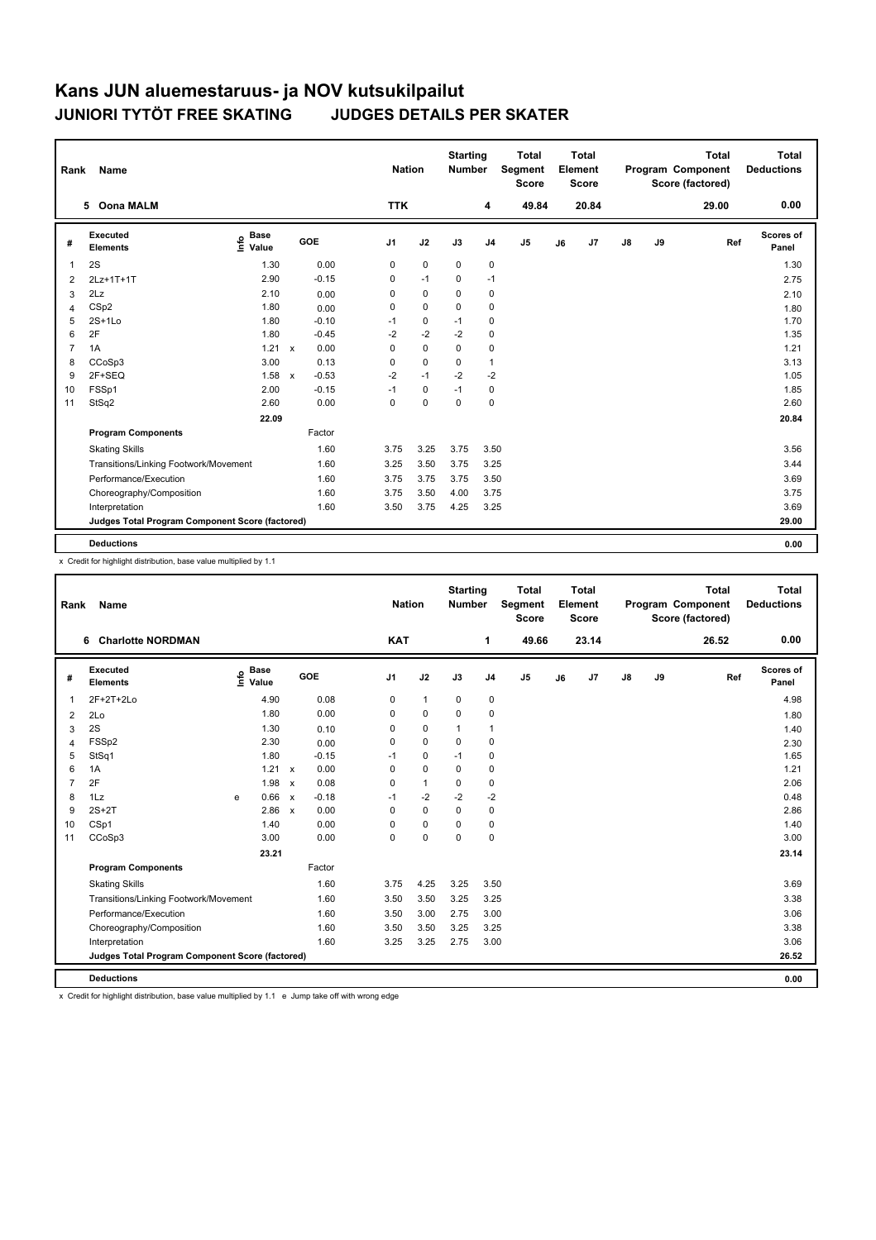| Rank           | Name                                            |                                             |              |         |                | <b>Nation</b> |             | <b>Starting</b><br><b>Number</b> |                | Total<br>Segment<br><b>Score</b> |    | Total<br>Element<br>Score |               |    | <b>Total</b><br>Program Component<br>Score (factored) | Total<br><b>Deductions</b> |
|----------------|-------------------------------------------------|---------------------------------------------|--------------|---------|----------------|---------------|-------------|----------------------------------|----------------|----------------------------------|----|---------------------------|---------------|----|-------------------------------------------------------|----------------------------|
|                | <b>Oona MALM</b><br>5.                          |                                             |              |         | <b>TTK</b>     |               |             |                                  | 4              | 49.84                            |    | 20.84                     |               |    | 29.00                                                 | 0.00                       |
| #              | <b>Executed</b><br><b>Elements</b>              | <b>Base</b><br>e <sup>Base</sup><br>⊆ Value |              | GOE     | J <sub>1</sub> |               | J2          | J3                               | J <sub>4</sub> | J <sub>5</sub>                   | J6 | J7                        | $\mathsf{J}8$ | J9 | Ref                                                   | Scores of<br>Panel         |
| 1              | 2S                                              | 1.30                                        |              | 0.00    | 0              |               | $\mathbf 0$ | $\mathbf 0$                      | 0              |                                  |    |                           |               |    |                                                       | 1.30                       |
| 2              | 2Lz+1T+1T                                       | 2.90                                        |              | $-0.15$ | 0              |               | $-1$        | 0                                | $-1$           |                                  |    |                           |               |    |                                                       | 2.75                       |
| 3              | 2Lz                                             | 2.10                                        |              | 0.00    | 0              |               | 0           | 0                                | 0              |                                  |    |                           |               |    |                                                       | 2.10                       |
| 4              | CSp2                                            | 1.80                                        |              | 0.00    | 0              |               | 0           | 0                                | 0              |                                  |    |                           |               |    |                                                       | 1.80                       |
| 5              | $2S+1Lo$                                        | 1.80                                        |              | $-0.10$ | $-1$           |               | $\mathbf 0$ | $-1$                             | 0              |                                  |    |                           |               |    |                                                       | 1.70                       |
| 6              | 2F                                              | 1.80                                        |              | $-0.45$ | $-2$           |               | $-2$        | $-2$                             | 0              |                                  |    |                           |               |    |                                                       | 1.35                       |
| $\overline{7}$ | 1A                                              | 1.21                                        | $\mathsf{x}$ | 0.00    | 0              |               | $\mathbf 0$ | 0                                | 0              |                                  |    |                           |               |    |                                                       | 1.21                       |
| 8              | CCoSp3                                          | 3.00                                        |              | 0.13    | $\Omega$       |               | $\mathbf 0$ | $\Omega$                         | 1              |                                  |    |                           |               |    |                                                       | 3.13                       |
| 9              | 2F+SEQ                                          | 1.58                                        | $\mathsf{x}$ | $-0.53$ | $-2$           |               | $-1$        | $-2$                             | $-2$           |                                  |    |                           |               |    |                                                       | 1.05                       |
| 10             | FSSp1                                           | 2.00                                        |              | $-0.15$ | $-1$           |               | $\mathbf 0$ | $-1$                             | 0              |                                  |    |                           |               |    |                                                       | 1.85                       |
| 11             | StSq2                                           | 2.60                                        |              | 0.00    | 0              |               | 0           | 0                                | 0              |                                  |    |                           |               |    |                                                       | 2.60                       |
|                |                                                 | 22.09                                       |              |         |                |               |             |                                  |                |                                  |    |                           |               |    |                                                       | 20.84                      |
|                | <b>Program Components</b>                       |                                             |              | Factor  |                |               |             |                                  |                |                                  |    |                           |               |    |                                                       |                            |
|                | <b>Skating Skills</b>                           |                                             |              | 1.60    | 3.75           |               | 3.25        | 3.75                             | 3.50           |                                  |    |                           |               |    |                                                       | 3.56                       |
|                | Transitions/Linking Footwork/Movement           |                                             |              | 1.60    | 3.25           |               | 3.50        | 3.75                             | 3.25           |                                  |    |                           |               |    |                                                       | 3.44                       |
|                | Performance/Execution                           |                                             |              | 1.60    | 3.75           |               | 3.75        | 3.75                             | 3.50           |                                  |    |                           |               |    |                                                       | 3.69                       |
|                | Choreography/Composition                        |                                             |              | 1.60    | 3.75           |               | 3.50        | 4.00                             | 3.75           |                                  |    |                           |               |    |                                                       | 3.75                       |
|                | Interpretation                                  |                                             |              | 1.60    | 3.50           |               | 3.75        | 4.25                             | 3.25           |                                  |    |                           |               |    |                                                       | 3.69                       |
|                | Judges Total Program Component Score (factored) |                                             |              |         |                |               |             |                                  |                |                                  |    |                           |               |    |                                                       | 29.00                      |
|                | <b>Deductions</b>                               |                                             |              |         |                |               |             |                                  |                |                                  |    |                           |               |    |                                                       | 0.00                       |

x Credit for highlight distribution, base value multiplied by 1.1

| Rank           | <b>Name</b>                                     |                              |                           |         | <b>Nation</b> |              | <b>Starting</b><br>Number |                | <b>Total</b><br>Segment<br><b>Score</b> |    | <b>Total</b><br>Element<br><b>Score</b> |               |    | Total<br>Program Component<br>Score (factored) | <b>Total</b><br><b>Deductions</b> |
|----------------|-------------------------------------------------|------------------------------|---------------------------|---------|---------------|--------------|---------------------------|----------------|-----------------------------------------|----|-----------------------------------------|---------------|----|------------------------------------------------|-----------------------------------|
|                | 6 Charlotte NORDMAN                             |                              |                           |         | <b>KAT</b>    |              |                           | 1              | 49.66                                   |    | 23.14                                   |               |    | 26.52                                          | 0.00                              |
| #              | Executed<br><b>Elements</b>                     | <b>Base</b><br>Info<br>Value |                           | GOE     | J1            | J2           | J3                        | J <sub>4</sub> | J <sub>5</sub>                          | J6 | J7                                      | $\mathsf{J}8$ | J9 | Ref                                            | <b>Scores of</b><br>Panel         |
| 1              | 2F+2T+2Lo                                       | 4.90                         |                           | 0.08    | 0             | $\mathbf{1}$ | $\mathbf 0$               | $\pmb{0}$      |                                         |    |                                         |               |    |                                                | 4.98                              |
| $\overline{2}$ | 2Lo                                             | 1.80                         |                           | 0.00    | 0             | $\mathbf 0$  | 0                         | $\mathbf 0$    |                                         |    |                                         |               |    |                                                | 1.80                              |
| 3              | 2S                                              | 1.30                         |                           | 0.10    | 0             | $\mathbf 0$  | $\mathbf{1}$              | $\mathbf{1}$   |                                         |    |                                         |               |    |                                                | 1.40                              |
| 4              | FSSp2                                           | 2.30                         |                           | 0.00    | 0             | $\Omega$     | 0                         | 0              |                                         |    |                                         |               |    |                                                | 2.30                              |
| 5              | StSq1                                           | 1.80                         |                           | $-0.15$ | $-1$          | $\mathbf 0$  | $-1$                      | 0              |                                         |    |                                         |               |    |                                                | 1.65                              |
| 6              | 1A                                              | 1.21                         | $\mathsf{x}$              | 0.00    | 0             | $\mathbf 0$  | 0                         | $\mathbf 0$    |                                         |    |                                         |               |    |                                                | 1.21                              |
| 7              | 2F                                              | 1.98                         | $\boldsymbol{\mathsf{x}}$ | 0.08    | 0             | $\mathbf{1}$ | 0                         | 0              |                                         |    |                                         |               |    |                                                | 2.06                              |
| 8              | 1Lz                                             | 0.66<br>e                    | $\mathsf{x}$              | $-0.18$ | $-1$          | $-2$         | $-2$                      | $-2$           |                                         |    |                                         |               |    |                                                | 0.48                              |
| 9              | $2S+2T$                                         | 2.86                         | $\mathsf{x}$              | 0.00    | $\Omega$      | $\Omega$     | $\Omega$                  | $\mathbf 0$    |                                         |    |                                         |               |    |                                                | 2.86                              |
| 10             | CSp1                                            | 1.40                         |                           | 0.00    | 0             | $\mathbf 0$  | $\mathbf 0$               | $\mathbf 0$    |                                         |    |                                         |               |    |                                                | 1.40                              |
| 11             | CCoSp3                                          | 3.00                         |                           | 0.00    | 0             | $\mathbf 0$  | $\mathbf 0$               | $\mathbf 0$    |                                         |    |                                         |               |    |                                                | 3.00                              |
|                |                                                 | 23.21                        |                           |         |               |              |                           |                |                                         |    |                                         |               |    |                                                | 23.14                             |
|                | <b>Program Components</b>                       |                              |                           | Factor  |               |              |                           |                |                                         |    |                                         |               |    |                                                |                                   |
|                | <b>Skating Skills</b>                           |                              |                           | 1.60    | 3.75          | 4.25         | 3.25                      | 3.50           |                                         |    |                                         |               |    |                                                | 3.69                              |
|                | Transitions/Linking Footwork/Movement           |                              |                           | 1.60    | 3.50          | 3.50         | 3.25                      | 3.25           |                                         |    |                                         |               |    |                                                | 3.38                              |
|                | Performance/Execution                           |                              |                           | 1.60    | 3.50          | 3.00         | 2.75                      | 3.00           |                                         |    |                                         |               |    |                                                | 3.06                              |
|                | Choreography/Composition                        |                              |                           | 1.60    | 3.50          | 3.50         | 3.25                      | 3.25           |                                         |    |                                         |               |    |                                                | 3.38                              |
|                | Interpretation                                  |                              |                           | 1.60    | 3.25          | 3.25         | 2.75                      | 3.00           |                                         |    |                                         |               |    |                                                | 3.06                              |
|                | Judges Total Program Component Score (factored) |                              |                           |         |               |              |                           |                |                                         |    |                                         |               |    |                                                | 26.52                             |
|                | <b>Deductions</b>                               |                              |                           |         |               |              |                           |                |                                         |    |                                         |               |    |                                                | 0.00                              |

x Credit for highlight distribution, base value multiplied by 1.1 e Jump take off with wrong edge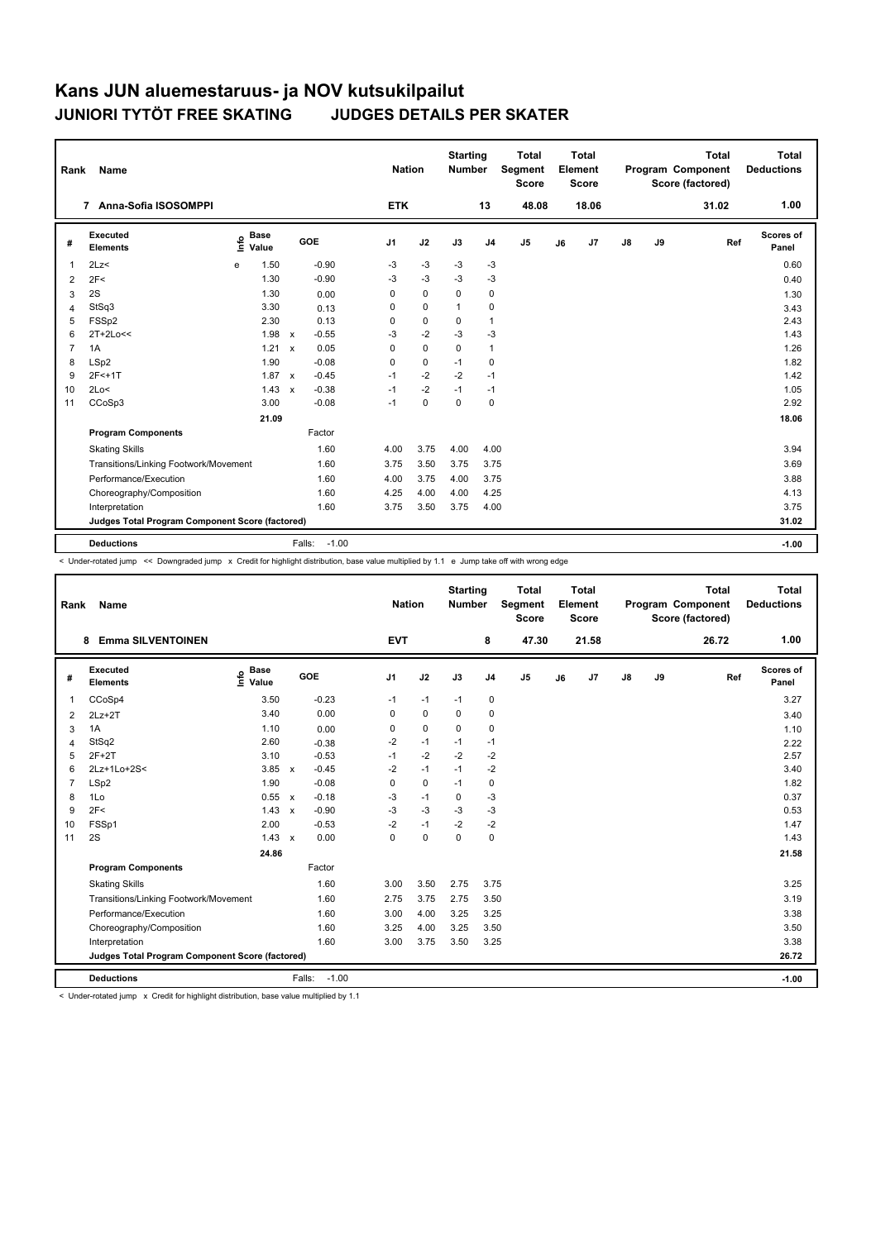| Rank           | <b>Name</b>                                     |                              |              |                   | <b>Nation</b>  |             | <b>Starting</b><br><b>Number</b> |                | Total<br>Segment<br><b>Score</b> |    | Total<br>Element<br><b>Score</b> |               |    | Total<br>Program Component<br>Score (factored) | Total<br><b>Deductions</b> |
|----------------|-------------------------------------------------|------------------------------|--------------|-------------------|----------------|-------------|----------------------------------|----------------|----------------------------------|----|----------------------------------|---------------|----|------------------------------------------------|----------------------------|
|                | 7 Anna-Sofia ISOSOMPPI                          |                              |              |                   | <b>ETK</b>     |             |                                  | 13             | 48.08                            |    | 18.06                            |               |    | 31.02                                          | 1.00                       |
| #              | Executed<br><b>Elements</b>                     | <b>Base</b><br>١nfo<br>Value |              | GOE               | J <sub>1</sub> | J2          | J3                               | J <sub>4</sub> | J <sub>5</sub>                   | J6 | J <sub>7</sub>                   | $\mathsf{J}8$ | J9 | Ref                                            | Scores of<br>Panel         |
| $\overline{1}$ | 2Lz<                                            | 1.50<br>e                    |              | $-0.90$           | -3             | $-3$        | $-3$                             | $-3$           |                                  |    |                                  |               |    |                                                | 0.60                       |
| 2              | 2F<                                             | 1.30                         |              | $-0.90$           | -3             | $-3$        | $-3$                             | $-3$           |                                  |    |                                  |               |    |                                                | 0.40                       |
| 3              | 2S                                              | 1.30                         |              | 0.00              | 0              | $\mathbf 0$ | $\mathbf 0$                      | $\mathbf 0$    |                                  |    |                                  |               |    |                                                | 1.30                       |
| $\overline{4}$ | StSq3                                           | 3.30                         |              | 0.13              | 0              | $\mathbf 0$ | $\mathbf{1}$                     | $\mathbf 0$    |                                  |    |                                  |               |    |                                                | 3.43                       |
| 5              | FSSp2                                           | 2.30                         |              | 0.13              | 0              | $\mathbf 0$ | 0                                | $\mathbf{1}$   |                                  |    |                                  |               |    |                                                | 2.43                       |
| 6              | 2T+2Lo<<                                        | 1.98                         | $\mathsf{x}$ | $-0.55$           | $-3$           | $-2$        | $-3$                             | $-3$           |                                  |    |                                  |               |    |                                                | 1.43                       |
| $\overline{7}$ | 1A                                              | 1.21                         | $\mathsf{x}$ | 0.05              | 0              | $\mathbf 0$ | $\mathbf 0$                      | $\mathbf{1}$   |                                  |    |                                  |               |    |                                                | 1.26                       |
| 8              | LSp2                                            | 1.90                         |              | $-0.08$           | 0              | $\mathbf 0$ | $-1$                             | $\mathbf 0$    |                                  |    |                                  |               |    |                                                | 1.82                       |
| 9              | $2F<+1T$                                        | 1.87                         | $\mathsf{x}$ | $-0.45$           | $-1$           | $-2$        | $-2$                             | $-1$           |                                  |    |                                  |               |    |                                                | 1.42                       |
| 10             | 2Lo<                                            | 1.43                         | $\mathsf{x}$ | $-0.38$           | $-1$           | $-2$        | $-1$                             | $-1$           |                                  |    |                                  |               |    |                                                | 1.05                       |
| 11             | CCoSp3                                          | 3.00                         |              | $-0.08$           | $-1$           | $\mathbf 0$ | $\mathbf 0$                      | $\mathbf 0$    |                                  |    |                                  |               |    |                                                | 2.92                       |
|                |                                                 | 21.09                        |              |                   |                |             |                                  |                |                                  |    |                                  |               |    |                                                | 18.06                      |
|                | <b>Program Components</b>                       |                              |              | Factor            |                |             |                                  |                |                                  |    |                                  |               |    |                                                |                            |
|                | <b>Skating Skills</b>                           |                              |              | 1.60              | 4.00           | 3.75        | 4.00                             | 4.00           |                                  |    |                                  |               |    |                                                | 3.94                       |
|                | Transitions/Linking Footwork/Movement           |                              |              | 1.60              | 3.75           | 3.50        | 3.75                             | 3.75           |                                  |    |                                  |               |    |                                                | 3.69                       |
|                | Performance/Execution                           |                              |              | 1.60              | 4.00           | 3.75        | 4.00                             | 3.75           |                                  |    |                                  |               |    |                                                | 3.88                       |
|                | Choreography/Composition                        |                              |              | 1.60              | 4.25           | 4.00        | 4.00                             | 4.25           |                                  |    |                                  |               |    |                                                | 4.13                       |
|                | Interpretation                                  |                              |              | 1.60              | 3.75           | 3.50        | 3.75                             | 4.00           |                                  |    |                                  |               |    |                                                | 3.75                       |
|                | Judges Total Program Component Score (factored) |                              |              |                   |                |             |                                  |                |                                  |    |                                  |               |    |                                                | 31.02                      |
|                | <b>Deductions</b>                               |                              |              | $-1.00$<br>Falls: |                |             |                                  |                |                                  |    |                                  |               |    |                                                | $-1.00$                    |

< Under-rotated jump << Downgraded jump x Credit for highlight distribution, base value multiplied by 1.1 e Jump take off with wrong edge

| Rank           | Name                                            |                              |                         |            | <b>Nation</b> | <b>Starting</b><br><b>Number</b> |                | <b>Total</b><br>Segment<br><b>Score</b> |    | <b>Total</b><br>Element<br><b>Score</b> |               |    | <b>Total</b><br>Program Component<br>Score (factored) | <b>Total</b><br><b>Deductions</b> |
|----------------|-------------------------------------------------|------------------------------|-------------------------|------------|---------------|----------------------------------|----------------|-----------------------------------------|----|-----------------------------------------|---------------|----|-------------------------------------------------------|-----------------------------------|
|                | <b>Emma SILVENTOINEN</b><br>8                   |                              |                         | <b>EVT</b> |               |                                  | 8              | 47.30                                   |    | 21.58                                   |               |    | 26.72                                                 | 1.00                              |
| #              | Executed<br><b>Elements</b>                     | <b>Base</b><br>lnfo<br>Value | GOE                     | J1         | J2            | J3                               | J <sub>4</sub> | J <sub>5</sub>                          | J6 | J7                                      | $\mathsf{J}8$ | J9 | Ref                                                   | Scores of<br>Panel                |
| 1              | CCoSp4                                          | 3.50                         | $-0.23$                 | $-1$       | $-1$          | $-1$                             | 0              |                                         |    |                                         |               |    |                                                       | 3.27                              |
| 2              | $2Lz+2T$                                        | 3.40                         | 0.00                    | 0          | $\Omega$      | $\Omega$                         | 0              |                                         |    |                                         |               |    |                                                       | 3.40                              |
| 3              | 1A                                              | 1.10                         | 0.00                    | 0          | $\mathbf 0$   | 0                                | 0              |                                         |    |                                         |               |    |                                                       | 1.10                              |
| 4              | StSq2                                           | 2.60                         | $-0.38$                 | $-2$       | $-1$          | $-1$                             | $-1$           |                                         |    |                                         |               |    |                                                       | 2.22                              |
| 5              | $2F+2T$                                         | 3.10                         | $-0.53$                 | $-1$       | $-2$          | $-2$                             | $-2$           |                                         |    |                                         |               |    |                                                       | 2.57                              |
| 6              | 2Lz+1Lo+2S<                                     | 3.85                         | $-0.45$<br>$\mathsf{x}$ | $-2$       | $-1$          | $-1$                             | $-2$           |                                         |    |                                         |               |    |                                                       | 3.40                              |
| $\overline{7}$ | LSp2                                            | 1.90                         | $-0.08$                 | 0          | $\mathbf 0$   | $-1$                             | $\pmb{0}$      |                                         |    |                                         |               |    |                                                       | 1.82                              |
| 8              | 1Lo                                             | 0.55                         | $-0.18$<br>$\mathsf{x}$ | $-3$       | $-1$          | $\mathbf 0$                      | $-3$           |                                         |    |                                         |               |    |                                                       | 0.37                              |
| 9              | 2F<                                             | 1.43                         | $-0.90$<br>$\mathbf{x}$ | $-3$       | $-3$          | $-3$                             | $-3$           |                                         |    |                                         |               |    |                                                       | 0.53                              |
| 10             | FSSp1                                           | 2.00                         | $-0.53$                 | $-2$       | $-1$          | $-2$                             | $-2$           |                                         |    |                                         |               |    |                                                       | 1.47                              |
| 11             | 2S                                              | 1.43                         | 0.00<br>$\mathbf{x}$    | 0          | $\mathbf 0$   | $\mathbf 0$                      | 0              |                                         |    |                                         |               |    |                                                       | 1.43                              |
|                |                                                 | 24.86                        |                         |            |               |                                  |                |                                         |    |                                         |               |    |                                                       | 21.58                             |
|                | <b>Program Components</b>                       |                              | Factor                  |            |               |                                  |                |                                         |    |                                         |               |    |                                                       |                                   |
|                | <b>Skating Skills</b>                           |                              | 1.60                    | 3.00       | 3.50          | 2.75                             | 3.75           |                                         |    |                                         |               |    |                                                       | 3.25                              |
|                | Transitions/Linking Footwork/Movement           |                              | 1.60                    | 2.75       | 3.75          | 2.75                             | 3.50           |                                         |    |                                         |               |    |                                                       | 3.19                              |
|                | Performance/Execution                           |                              | 1.60                    | 3.00       | 4.00          | 3.25                             | 3.25           |                                         |    |                                         |               |    |                                                       | 3.38                              |
|                | Choreography/Composition                        |                              | 1.60                    | 3.25       | 4.00          | 3.25                             | 3.50           |                                         |    |                                         |               |    |                                                       | 3.50                              |
|                | Interpretation                                  |                              | 1.60                    | 3.00       | 3.75          | 3.50                             | 3.25           |                                         |    |                                         |               |    |                                                       | 3.38                              |
|                | Judges Total Program Component Score (factored) |                              |                         |            |               |                                  |                |                                         |    |                                         |               |    |                                                       | 26.72                             |
|                | <b>Deductions</b>                               |                              | $-1.00$<br>Falls:       |            |               |                                  |                |                                         |    |                                         |               |    |                                                       | $-1.00$                           |

< Under-rotated jump x Credit for highlight distribution, base value multiplied by 1.1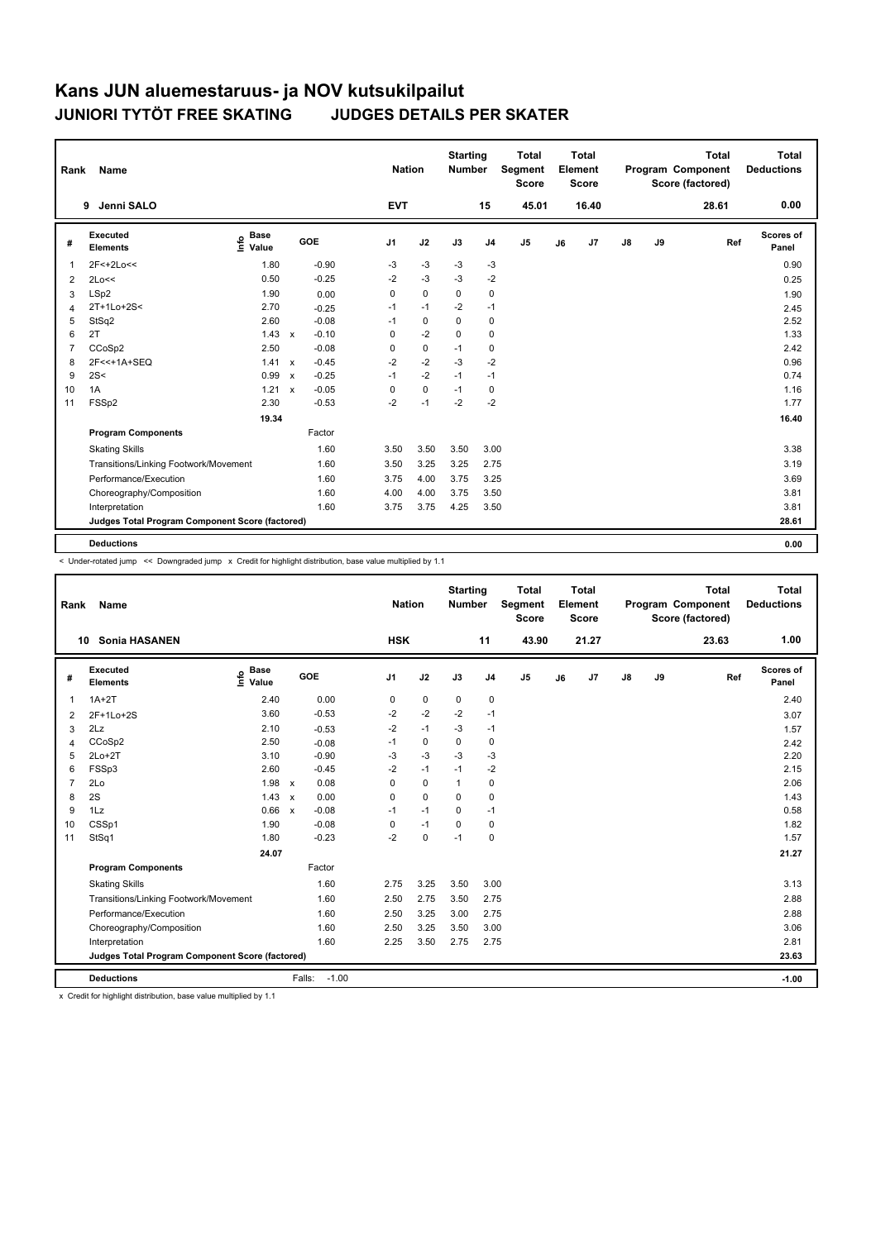| Rank | <b>Name</b>                                     |                                             |              |         | <b>Nation</b> |             | <b>Starting</b><br><b>Number</b> |                | <b>Total</b><br>Segment<br><b>Score</b> |    | <b>Total</b><br>Element<br><b>Score</b> |               |    | <b>Total</b><br>Program Component<br>Score (factored) | <b>Total</b><br><b>Deductions</b> |
|------|-------------------------------------------------|---------------------------------------------|--------------|---------|---------------|-------------|----------------------------------|----------------|-----------------------------------------|----|-----------------------------------------|---------------|----|-------------------------------------------------------|-----------------------------------|
|      | Jenni SALO<br>9                                 |                                             |              |         | <b>EVT</b>    |             |                                  | 15             | 45.01                                   |    | 16.40                                   |               |    | 28.61                                                 | 0.00                              |
| #    | <b>Executed</b><br><b>Elements</b>              | <b>Base</b><br>e <sup>Base</sup><br>⊆ Value |              | GOE     | J1            | J2          | J3                               | J <sub>4</sub> | J <sub>5</sub>                          | J6 | J <sub>7</sub>                          | $\mathsf{J}8$ | J9 | Ref                                                   | Scores of<br>Panel                |
|      | 2F<+2Lo<<                                       | 1.80                                        |              | $-0.90$ | -3            | $-3$        | -3                               | -3             |                                         |    |                                         |               |    |                                                       | 0.90                              |
| 2    | 2Lo<<                                           | 0.50                                        |              | $-0.25$ | $-2$          | $-3$        | $-3$                             | $-2$           |                                         |    |                                         |               |    |                                                       | 0.25                              |
| 3    | LSp2                                            | 1.90                                        |              | 0.00    | $\mathbf 0$   | $\pmb{0}$   | $\mathbf 0$                      | 0              |                                         |    |                                         |               |    |                                                       | 1.90                              |
|      | 2T+1Lo+2S<                                      | 2.70                                        |              | $-0.25$ | $-1$          | $-1$        | $-2$                             | $-1$           |                                         |    |                                         |               |    |                                                       | 2.45                              |
| 5    | StSq2                                           | 2.60                                        |              | $-0.08$ | $-1$          | $\pmb{0}$   | $\mathbf 0$                      | 0              |                                         |    |                                         |               |    |                                                       | 2.52                              |
| 6    | 2T                                              | $1.43 \times$                               |              | $-0.10$ | $\Omega$      | $-2$        | $\Omega$                         | $\Omega$       |                                         |    |                                         |               |    |                                                       | 1.33                              |
|      | CCoSp2                                          | 2.50                                        |              | $-0.08$ | $\mathbf 0$   | $\pmb{0}$   | $-1$                             | 0              |                                         |    |                                         |               |    |                                                       | 2.42                              |
| 8    | 2F<<+1A+SEQ                                     | 1.41                                        | $\mathsf{x}$ | $-0.45$ | $-2$          | $-2$        | $-3$                             | $-2$           |                                         |    |                                         |               |    |                                                       | 0.96                              |
| 9    | 2S<                                             | 0.99                                        | $\mathsf{x}$ | $-0.25$ | $-1$          | $-2$        | $-1$                             | $-1$           |                                         |    |                                         |               |    |                                                       | 0.74                              |
| 10   | 1A                                              | 1.21                                        | $\mathbf{x}$ | $-0.05$ | 0             | $\mathbf 0$ | $-1$                             | 0              |                                         |    |                                         |               |    |                                                       | 1.16                              |
| 11   | FSSp2                                           | 2.30                                        |              | $-0.53$ | $-2$          | $-1$        | $-2$                             | $-2$           |                                         |    |                                         |               |    |                                                       | 1.77                              |
|      |                                                 | 19.34                                       |              |         |               |             |                                  |                |                                         |    |                                         |               |    |                                                       | 16.40                             |
|      | <b>Program Components</b>                       |                                             |              | Factor  |               |             |                                  |                |                                         |    |                                         |               |    |                                                       |                                   |
|      | <b>Skating Skills</b>                           |                                             |              | 1.60    | 3.50          | 3.50        | 3.50                             | 3.00           |                                         |    |                                         |               |    |                                                       | 3.38                              |
|      | Transitions/Linking Footwork/Movement           |                                             |              | 1.60    | 3.50          | 3.25        | 3.25                             | 2.75           |                                         |    |                                         |               |    |                                                       | 3.19                              |
|      | Performance/Execution                           |                                             |              | 1.60    | 3.75          | 4.00        | 3.75                             | 3.25           |                                         |    |                                         |               |    |                                                       | 3.69                              |
|      | Choreography/Composition                        |                                             |              | 1.60    | 4.00          | 4.00        | 3.75                             | 3.50           |                                         |    |                                         |               |    |                                                       | 3.81                              |
|      | Interpretation                                  |                                             |              | 1.60    | 3.75          | 3.75        | 4.25                             | 3.50           |                                         |    |                                         |               |    |                                                       | 3.81                              |
|      | Judges Total Program Component Score (factored) |                                             |              |         |               |             |                                  |                |                                         |    |                                         |               |    |                                                       | 28.61                             |
|      |                                                 |                                             |              |         |               |             |                                  |                |                                         |    |                                         |               |    |                                                       |                                   |
|      | <b>Deductions</b>                               |                                             |              |         |               |             |                                  |                |                                         |    |                                         |               |    |                                                       | 0.00                              |

< Under-rotated jump << Downgraded jump x Credit for highlight distribution, base value multiplied by 1.1

| Rank           | <b>Name</b>                                     |                              |              |         | <b>Nation</b> |             | <b>Starting</b><br><b>Number</b> |                | <b>Total</b><br>Segment<br><b>Score</b> |    | Total<br>Element<br><b>Score</b> |               |    | <b>Total</b><br>Program Component<br>Score (factored) | <b>Total</b><br><b>Deductions</b> |
|----------------|-------------------------------------------------|------------------------------|--------------|---------|---------------|-------------|----------------------------------|----------------|-----------------------------------------|----|----------------------------------|---------------|----|-------------------------------------------------------|-----------------------------------|
| 10             | Sonia HASANEN                                   |                              |              |         | <b>HSK</b>    |             |                                  | 11             | 43.90                                   |    | 21.27                            |               |    | 23.63                                                 | 1.00                              |
| #              | Executed<br><b>Elements</b>                     | <b>Base</b><br>Info<br>Value | GOE          |         | J1            | J2          | J3                               | J <sub>4</sub> | J <sub>5</sub>                          | J6 | J7                               | $\mathsf{J}8$ | J9 | Ref                                                   | Scores of<br>Panel                |
| $\mathbf{1}$   | $1A+2T$                                         | 2.40                         |              | 0.00    | 0             | $\mathbf 0$ | $\mathbf 0$                      | $\pmb{0}$      |                                         |    |                                  |               |    |                                                       | 2.40                              |
| $\overline{2}$ | 2F+1Lo+2S                                       | 3.60                         |              | $-0.53$ | $-2$          | $-2$        | $-2$                             | $-1$           |                                         |    |                                  |               |    |                                                       | 3.07                              |
| 3              | 2Lz                                             | 2.10                         |              | $-0.53$ | $-2$          | $-1$        | $-3$                             | $-1$           |                                         |    |                                  |               |    |                                                       | 1.57                              |
| 4              | CCoSp2                                          | 2.50                         |              | $-0.08$ | $-1$          | $\mathbf 0$ | $\Omega$                         | $\mathbf 0$    |                                         |    |                                  |               |    |                                                       | 2.42                              |
| 5              | $2Lo+2T$                                        | 3.10                         |              | $-0.90$ | $-3$          | $-3$        | $-3$                             | $-3$           |                                         |    |                                  |               |    |                                                       | 2.20                              |
| 6              | FSSp3                                           | 2.60                         |              | $-0.45$ | $-2$          | $-1$        | $-1$                             | $-2$           |                                         |    |                                  |               |    |                                                       | 2.15                              |
| $\overline{7}$ | 2Lo                                             | 1.98                         | $\mathsf{x}$ | 0.08    | $\Omega$      | $\Omega$    | $\mathbf{1}$                     | 0              |                                         |    |                                  |               |    |                                                       | 2.06                              |
| 8              | 2S                                              | 1.43                         | $\mathbf{x}$ | 0.00    | $\Omega$      | $\Omega$    | $\Omega$                         | $\Omega$       |                                         |    |                                  |               |    |                                                       | 1.43                              |
| 9              | 1Lz                                             | 0.66                         | $\mathsf{x}$ | $-0.08$ | $-1$          | $-1$        | $\Omega$                         | $-1$           |                                         |    |                                  |               |    |                                                       | 0.58                              |
| 10             | CSSp1                                           | 1.90                         |              | $-0.08$ | 0             | $-1$        | $\mathbf 0$                      | $\mathbf 0$    |                                         |    |                                  |               |    |                                                       | 1.82                              |
| 11             | StSq1                                           | 1.80                         |              | $-0.23$ | $-2$          | $\mathbf 0$ | $-1$                             | 0              |                                         |    |                                  |               |    |                                                       | 1.57                              |
|                |                                                 | 24.07                        |              |         |               |             |                                  |                |                                         |    |                                  |               |    |                                                       | 21.27                             |
|                | <b>Program Components</b>                       |                              |              | Factor  |               |             |                                  |                |                                         |    |                                  |               |    |                                                       |                                   |
|                | <b>Skating Skills</b>                           |                              |              | 1.60    | 2.75          | 3.25        | 3.50                             | 3.00           |                                         |    |                                  |               |    |                                                       | 3.13                              |
|                | Transitions/Linking Footwork/Movement           |                              |              | 1.60    | 2.50          | 2.75        | 3.50                             | 2.75           |                                         |    |                                  |               |    |                                                       | 2.88                              |
|                | Performance/Execution                           |                              |              | 1.60    | 2.50          | 3.25        | 3.00                             | 2.75           |                                         |    |                                  |               |    |                                                       | 2.88                              |
|                | Choreography/Composition                        |                              |              | 1.60    | 2.50          | 3.25        | 3.50                             | 3.00           |                                         |    |                                  |               |    |                                                       | 3.06                              |
|                | Interpretation                                  |                              |              | 1.60    | 2.25          | 3.50        | 2.75                             | 2.75           |                                         |    |                                  |               |    |                                                       | 2.81                              |
|                | Judges Total Program Component Score (factored) |                              |              |         |               |             |                                  |                |                                         |    |                                  |               |    |                                                       | 23.63                             |
|                | <b>Deductions</b>                               |                              | Falls:       | $-1.00$ |               |             |                                  |                |                                         |    |                                  |               |    |                                                       | $-1.00$                           |

x Credit for highlight distribution, base value multiplied by 1.1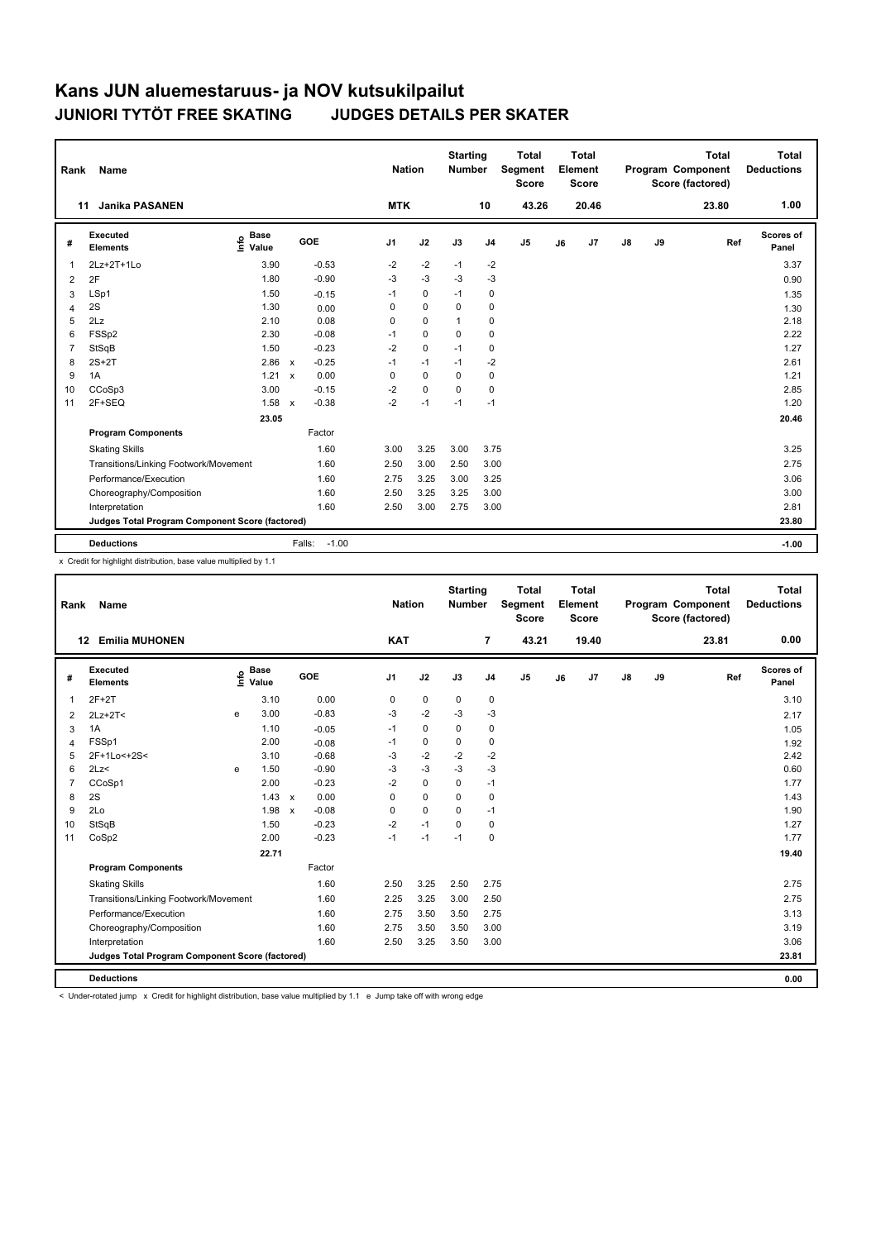| Rank           | Name                                            |                              |                           |                   | <b>Nation</b>  |             | <b>Starting</b><br><b>Number</b> |                | <b>Total</b><br>Segment<br><b>Score</b> |    | <b>Total</b><br>Element<br>Score |               |    | <b>Total</b><br>Program Component<br>Score (factored) | <b>Total</b><br><b>Deductions</b> |
|----------------|-------------------------------------------------|------------------------------|---------------------------|-------------------|----------------|-------------|----------------------------------|----------------|-----------------------------------------|----|----------------------------------|---------------|----|-------------------------------------------------------|-----------------------------------|
| 11             | <b>Janika PASANEN</b>                           |                              |                           |                   | <b>MTK</b>     |             |                                  | 10             | 43.26                                   |    | 20.46                            |               |    | 23.80                                                 | 1.00                              |
| #              | <b>Executed</b><br><b>Elements</b>              | <b>Base</b><br>١nfo<br>Value |                           | GOE               | J <sub>1</sub> | J2          | J3                               | J <sub>4</sub> | J <sub>5</sub>                          | J6 | J7                               | $\mathsf{J}8$ | J9 | Ref                                                   | Scores of<br>Panel                |
| 1              | 2Lz+2T+1Lo                                      | 3.90                         |                           | $-0.53$           | $-2$           | $-2$        | $-1$                             | $-2$           |                                         |    |                                  |               |    |                                                       | 3.37                              |
| 2              | 2F                                              | 1.80                         |                           | $-0.90$           | $-3$           | $-3$        | $-3$                             | $-3$           |                                         |    |                                  |               |    |                                                       | 0.90                              |
| 3              | LSp1                                            | 1.50                         |                           | $-0.15$           | $-1$           | $\mathbf 0$ | $-1$                             | 0              |                                         |    |                                  |               |    |                                                       | 1.35                              |
| $\overline{4}$ | 2S                                              | 1.30                         |                           | 0.00              | 0              | $\mathbf 0$ | $\mathbf 0$                      | 0              |                                         |    |                                  |               |    |                                                       | 1.30                              |
| 5              | 2Lz                                             | 2.10                         |                           | 0.08              | 0              | $\mathbf 0$ | 1                                | 0              |                                         |    |                                  |               |    |                                                       | 2.18                              |
| 6              | FSSp2                                           | 2.30                         |                           | $-0.08$           | $-1$           | $\mathbf 0$ | $\Omega$                         | $\mathbf 0$    |                                         |    |                                  |               |    |                                                       | 2.22                              |
| $\overline{7}$ | StSqB                                           | 1.50                         |                           | $-0.23$           | $-2$           | $\mathbf 0$ | $-1$                             | 0              |                                         |    |                                  |               |    |                                                       | 1.27                              |
| 8              | $2S+2T$                                         | 2.86                         | $\mathsf{x}$              | $-0.25$           | $-1$           | $-1$        | $-1$                             | $-2$           |                                         |    |                                  |               |    |                                                       | 2.61                              |
| 9              | 1A                                              | 1.21                         | $\mathsf{x}$              | 0.00              | 0              | $\mathbf 0$ | 0                                | 0              |                                         |    |                                  |               |    |                                                       | 1.21                              |
| 10             | CCoSp3                                          | 3.00                         |                           | $-0.15$           | $-2$           | $\Omega$    | $\Omega$                         | $\Omega$       |                                         |    |                                  |               |    |                                                       | 2.85                              |
| 11             | 2F+SEQ                                          | 1.58                         | $\boldsymbol{\mathsf{x}}$ | $-0.38$           | $-2$           | $-1$        | $-1$                             | $-1$           |                                         |    |                                  |               |    |                                                       | 1.20                              |
|                |                                                 | 23.05                        |                           |                   |                |             |                                  |                |                                         |    |                                  |               |    |                                                       | 20.46                             |
|                | <b>Program Components</b>                       |                              |                           | Factor            |                |             |                                  |                |                                         |    |                                  |               |    |                                                       |                                   |
|                | <b>Skating Skills</b>                           |                              |                           | 1.60              | 3.00           | 3.25        | 3.00                             | 3.75           |                                         |    |                                  |               |    |                                                       | 3.25                              |
|                | Transitions/Linking Footwork/Movement           |                              |                           | 1.60              | 2.50           | 3.00        | 2.50                             | 3.00           |                                         |    |                                  |               |    |                                                       | 2.75                              |
|                | Performance/Execution                           |                              |                           | 1.60              | 2.75           | 3.25        | 3.00                             | 3.25           |                                         |    |                                  |               |    |                                                       | 3.06                              |
|                | Choreography/Composition                        |                              |                           | 1.60              | 2.50           | 3.25        | 3.25                             | 3.00           |                                         |    |                                  |               |    |                                                       | 3.00                              |
|                | Interpretation                                  |                              |                           | 1.60              | 2.50           | 3.00        | 2.75                             | 3.00           |                                         |    |                                  |               |    |                                                       | 2.81                              |
|                | Judges Total Program Component Score (factored) |                              |                           |                   |                |             |                                  |                |                                         |    |                                  |               |    |                                                       | 23.80                             |
|                | <b>Deductions</b>                               |                              |                           | $-1.00$<br>Falls: |                |             |                                  |                |                                         |    |                                  |               |    |                                                       | $-1.00$                           |

x Credit for highlight distribution, base value multiplied by 1.1

| Rank           | <b>Name</b>                                     |   |                                  |              |         |                | <b>Nation</b> | <b>Starting</b><br><b>Number</b> |                | <b>Total</b><br>Segment<br><b>Score</b> |    | <b>Total</b><br>Element<br><b>Score</b> |               |    | <b>Total</b><br>Program Component<br>Score (factored) |     | <b>Total</b><br><b>Deductions</b> |
|----------------|-------------------------------------------------|---|----------------------------------|--------------|---------|----------------|---------------|----------------------------------|----------------|-----------------------------------------|----|-----------------------------------------|---------------|----|-------------------------------------------------------|-----|-----------------------------------|
|                | <b>Emilia MUHONEN</b><br>12                     |   |                                  |              |         | <b>KAT</b>     |               |                                  | $\overline{7}$ | 43.21                                   |    | 19.40                                   |               |    | 23.81                                                 |     | 0.00                              |
| #              | Executed<br><b>Elements</b>                     |   | <b>Base</b><br>o Base<br>⊆ Value |              | GOE     | J <sub>1</sub> | J2            | J3                               | J <sub>4</sub> | J <sub>5</sub>                          | J6 | J7                                      | $\mathsf{J}8$ | J9 |                                                       | Ref | Scores of<br>Panel                |
| -1             | $2F+2T$                                         |   | 3.10                             |              | 0.00    | 0              | 0             | 0                                | 0              |                                         |    |                                         |               |    |                                                       |     | 3.10                              |
| 2              | $2Lz+2T<$                                       | e | 3.00                             |              | $-0.83$ | $-3$           | $-2$          | $-3$                             | $-3$           |                                         |    |                                         |               |    |                                                       |     | 2.17                              |
| 3              | 1A                                              |   | 1.10                             |              | $-0.05$ | $-1$           | 0             | $\Omega$                         | 0              |                                         |    |                                         |               |    |                                                       |     | 1.05                              |
| 4              | FSSp1                                           |   | 2.00                             |              | $-0.08$ | $-1$           | $\mathbf 0$   | $\mathbf 0$                      | $\mathbf 0$    |                                         |    |                                         |               |    |                                                       |     | 1.92                              |
| 5              | 2F+1Lo<+2S<                                     |   | 3.10                             |              | $-0.68$ | $-3$           | $-2$          | $-2$                             | $-2$           |                                         |    |                                         |               |    |                                                       |     | 2.42                              |
| 6              | 2Lz<                                            | e | 1.50                             |              | $-0.90$ | $-3$           | $-3$          | $-3$                             | $-3$           |                                         |    |                                         |               |    |                                                       |     | 0.60                              |
| $\overline{7}$ | CCoSp1                                          |   | 2.00                             |              | $-0.23$ | $-2$           | $\Omega$      | $\Omega$                         | $-1$           |                                         |    |                                         |               |    |                                                       |     | 1.77                              |
| 8              | 2S                                              |   | 1.43                             | $\mathsf{x}$ | 0.00    | $\Omega$       | $\mathbf 0$   | $\mathbf 0$                      | $\mathbf 0$    |                                         |    |                                         |               |    |                                                       |     | 1.43                              |
| 9              | 2Lo                                             |   | 1.98                             | $\mathsf{x}$ | $-0.08$ | 0              | $\mathbf 0$   | $\Omega$                         | $-1$           |                                         |    |                                         |               |    |                                                       |     | 1.90                              |
| 10             | StSqB                                           |   | 1.50                             |              | $-0.23$ | $-2$           | $-1$          | $\Omega$                         | $\mathbf 0$    |                                         |    |                                         |               |    |                                                       |     | 1.27                              |
| 11             | CoSp2                                           |   | 2.00                             |              | $-0.23$ | $-1$           | $-1$          | $-1$                             | $\mathbf 0$    |                                         |    |                                         |               |    |                                                       |     | 1.77                              |
|                |                                                 |   | 22.71                            |              |         |                |               |                                  |                |                                         |    |                                         |               |    |                                                       |     | 19.40                             |
|                | <b>Program Components</b>                       |   |                                  |              | Factor  |                |               |                                  |                |                                         |    |                                         |               |    |                                                       |     |                                   |
|                | <b>Skating Skills</b>                           |   |                                  |              | 1.60    | 2.50           | 3.25          | 2.50                             | 2.75           |                                         |    |                                         |               |    |                                                       |     | 2.75                              |
|                | Transitions/Linking Footwork/Movement           |   |                                  |              | 1.60    | 2.25           | 3.25          | 3.00                             | 2.50           |                                         |    |                                         |               |    |                                                       |     | 2.75                              |
|                | Performance/Execution                           |   |                                  |              | 1.60    | 2.75           | 3.50          | 3.50                             | 2.75           |                                         |    |                                         |               |    |                                                       |     | 3.13                              |
|                | Choreography/Composition                        |   |                                  |              | 1.60    | 2.75           | 3.50          | 3.50                             | 3.00           |                                         |    |                                         |               |    |                                                       |     | 3.19                              |
|                | Interpretation                                  |   |                                  |              | 1.60    | 2.50           | 3.25          | 3.50                             | 3.00           |                                         |    |                                         |               |    |                                                       |     | 3.06                              |
|                | Judges Total Program Component Score (factored) |   |                                  |              |         |                |               |                                  |                |                                         |    |                                         |               |    |                                                       |     | 23.81                             |
|                | <b>Deductions</b>                               |   |                                  |              |         |                |               |                                  |                |                                         |    |                                         |               |    |                                                       |     | 0.00                              |

< Under-rotated jump x Credit for highlight distribution, base value multiplied by 1.1 e Jump take off with wrong edge